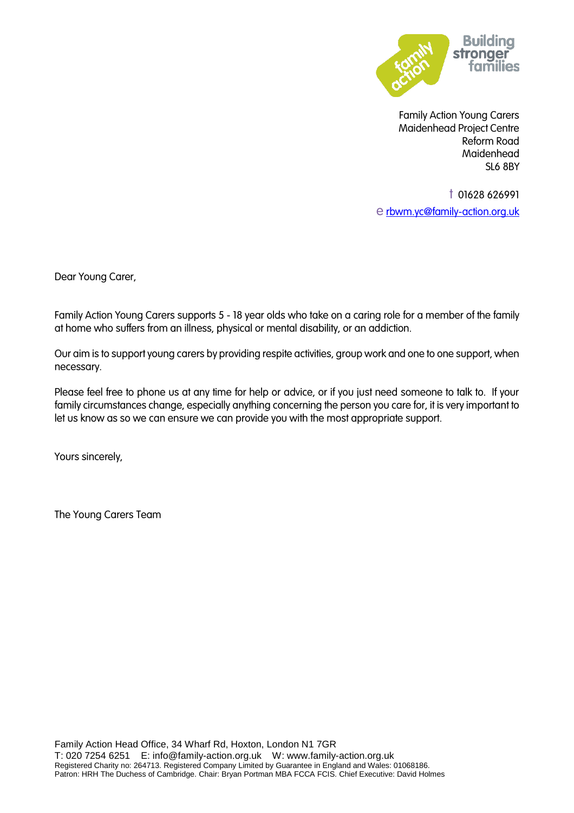

Family Action Young Carers Maidenhead Project Centre Reform Road **Maidenhead** SL6 8BY

t 01628 626991 e [rbwm.yc@family-action.org.uk](mailto:rbwm.yc@family-action.org.uk)

Dear Young Carer,

Family Action Young Carers supports 5 - 18 year olds who take on a caring role for a member of the family at home who suffers from an illness, physical or mental disability, or an addiction.

Our aim is to support young carers by providing respite activities, group work and one to one support, when necessary.

Please feel free to phone us at any time for help or advice, or if you just need someone to talk to. If your family circumstances change, especially anything concerning the person you care for, it is very important to let us know as so we can ensure we can provide you with the most appropriate support.

Yours sincerely,

The Young Carers Team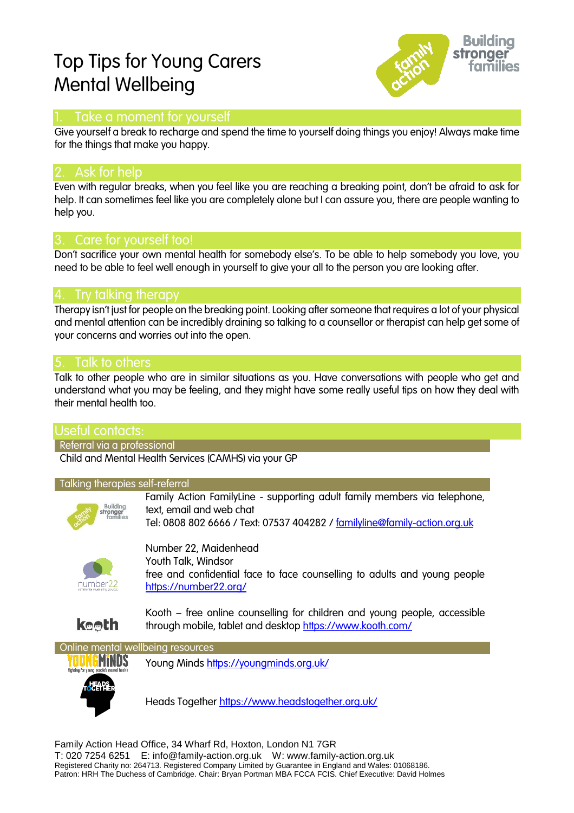# Top Tips for Young Carers Mental Wellbeing



### Take a moment for yourself

Give yourself a break to recharge and spend the time to yourself doing things you enjoy! Always make time for the things that make you happy.

### Ask for help

Even with regular breaks, when you feel like you are reaching a breaking point, don't be afraid to ask for help. It can sometimes feel like you are completely alone but I can assure you, there are people wanting to help you.

### 3. Care for yourself too!

Don't sacrifice your own mental health for somebody else's. To be able to help somebody you love, you need to be able to feel well enough in yourself to give your all to the person you are looking after.

### 4. Try talking therapy

Therapy isn't just for people on the breaking point. Looking after someone that requires a lot of your physical and mental attention can be incredibly draining so talking to a counsellor or therapist can help get some of your concerns and worries out into the open.

### 5. Talk to others

Talk to other people who are in similar situations as you. Have conversations with people who get and understand what you may be feeling, and they might have some really useful tips on how they deal with their mental health too.

### Useful contacts:

Referral via a professional

Child and Mental Health Services (CAMHS) via your GP

#### Talking therapies self-referral



Family Action FamilyLine - supporting adult family members via telephone, text, email and web chat Tel: 0808 802 6666 / Text: 07537 404282 / [familyline@family-action.org.uk](mailto:familyline@family-action.org.uk)



**keeth** 

Number 22, Maidenhead Youth Talk, Windsor free and confidential face to face counselling to adults and young people <https://number22.org/>

Kooth – free online counselling for children and young people, accessible through mobile, tablet and desktop<https://www.kooth.com/>



Young Minds <https://youngminds.org.uk/>

Heads Together <https://www.headstogether.org.uk/>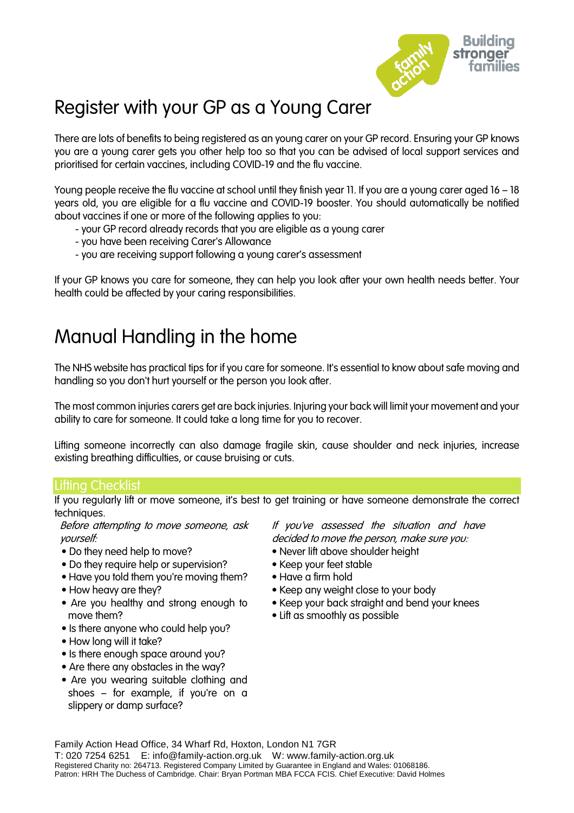

# Register with your GP as a Young Carer

There are lots of benefits to being registered as an young carer on your GP record. Ensuring your GP knows you are a young carer gets you other help too so that you can be advised of local support services and prioritised for certain vaccines, including COVID-19 and the flu vaccine.

Young people receive the flu vaccine at school until they finish year 11. If you are a young carer aged 16 – 18 years old, you are eligible for a flu vaccine and COVID-19 booster. You should automatically be notified about vaccines if one or more of the following applies to you:

- your GP record already records that you are eligible as a young carer
- you have been receiving Carer's Allowance
- you are receiving support following a young carer's assessment

If your GP knows you care for someone, they can help you look after your own health needs better. Your health could be affected by your caring responsibilities.

# Manual Handling in the home

The NHS website has practical tips for if you care for someone. It's essential to know about safe moving and handling so you don't hurt yourself or the person you look after.

The most common injuries carers get are back injuries. Injuring your back will limit your movement and your ability to care for someone. It could take a long time for you to recover.

Lifting someone incorrectly can also damage fragile skin, cause shoulder and neck injuries, increase existing breathing difficulties, or cause bruising or cuts.

### Lifting Checklist

If you regularly lift or move someone, it's best to get training or have someone demonstrate the correct techniques.

Before attempting to move someone, ask yourself:

- Do they need help to move?
- Do they require help or supervision?
- Have you told them you're moving them?
- How heavy are they?
- Are you healthy and strong enough to move them?
- Is there anyone who could help you?
- How long will it take?
- Is there enough space around you?
- Are there any obstacles in the way?
- Are you wearing suitable clothing and shoes – for example, if you're on a slippery or damp surface?

If you've assessed the situation and have decided to move the person, make sure you:

- Never lift above shoulder height
- Keep your feet stable
- Have a firm hold
	- Keep any weight close to your body
	- Keep your back straight and bend your knees
	- Lift as smoothly as possible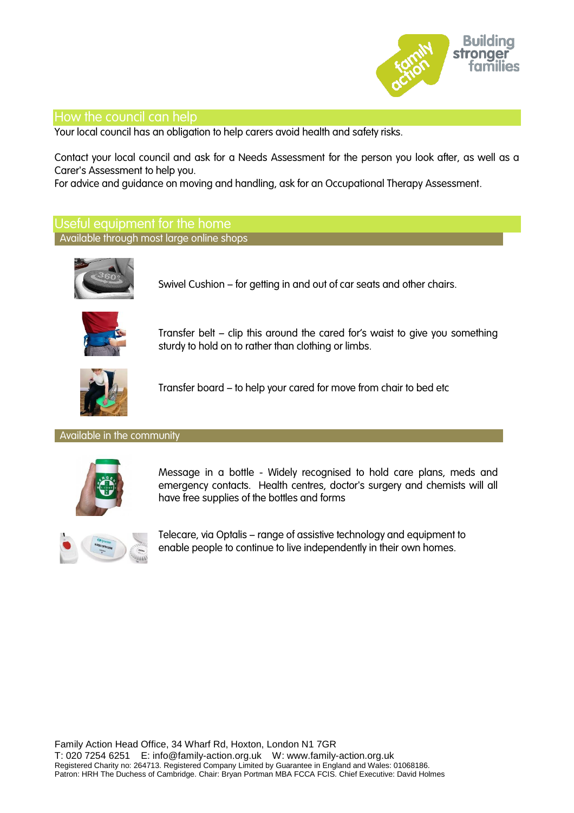

### How the council can help

Your local council has an obligation to help carers avoid health and safety risks.

Contact your local council and ask for a Needs Assessment for the person you look after, as well as a Carer's Assessment to help you.

For advice and guidance on moving and handling, ask for an Occupational Therapy Assessment.

### Useful equipment for the home Available through most large online shops



Swivel Cushion – for getting in and out of car seats and other chairs.



Transfer belt – clip this around the cared for's waist to give you something sturdy to hold on to rather than clothing or limbs.



Transfer board – to help your cared for move from chair to bed etc

#### Available in the community



Message in a bottle - Widely recognised to hold care plans, meds and emergency contacts. Health centres, doctor's surgery and chemists will all have free supplies of the bottles and forms



Telecare, via Optalis – range of assistive technology and equipment to enable people to continue to live independently in their own homes.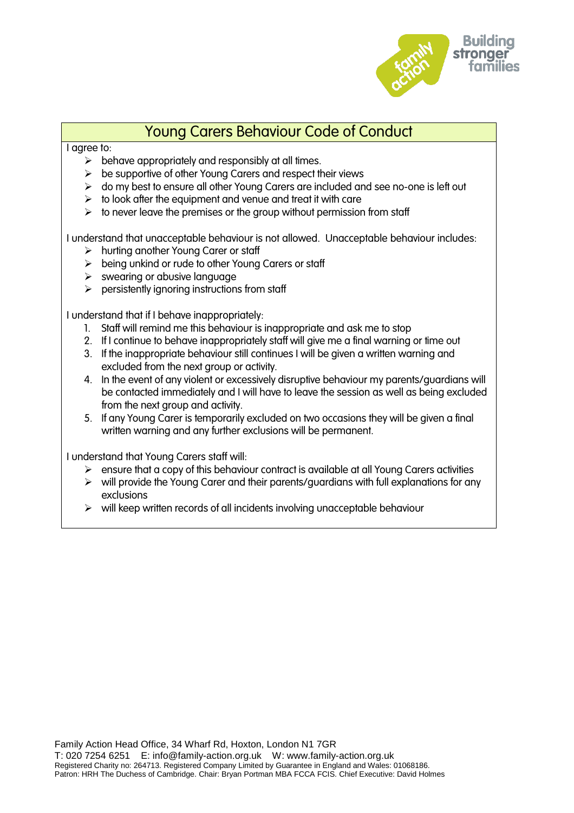

## Young Carers Behaviour Code of Conduct

#### I agree to:

- $\triangleright$  behave appropriately and responsibly at all times.
- $\triangleright$  be supportive of other Young Carers and respect their views
- $\triangleright$  do my best to ensure all other Young Carers are included and see no-one is left out
- $\triangleright$  to look after the equipment and venue and treat it with care
- $\triangleright$  to never leave the premises or the group without permission from staff

I understand that unacceptable behaviour is not allowed. Unacceptable behaviour includes:

- $\triangleright$  hurting another Young Carer or staff
- $\triangleright$  being unkind or rude to other Young Carers or staff
- $\triangleright$  swearing or abusive language
- $\triangleright$  persistently ignoring instructions from staff

I understand that if I behave inappropriately:

- 1. Staff will remind me this behaviour is inappropriate and ask me to stop
- 2. If I continue to behave inappropriately staff will give me a final warning or time out
- 3. If the inappropriate behaviour still continues I will be given a written warning and excluded from the next group or activity.
- 4. In the event of any violent or excessively disruptive behaviour my parents/guardians will be contacted immediately and I will have to leave the session as well as being excluded from the next group and activity.
- 5. If any Young Carer is temporarily excluded on two occasions they will be given a final written warning and any further exclusions will be permanent.

I understand that Young Carers staff will:

- $\triangleright$  ensure that a copy of this behaviour contract is available at all Young Carers activities
- $\triangleright$  will provide the Young Carer and their parents/guardians with full explanations for any exclusions
- $\triangleright$  will keep written records of all incidents involving unacceptable behaviour